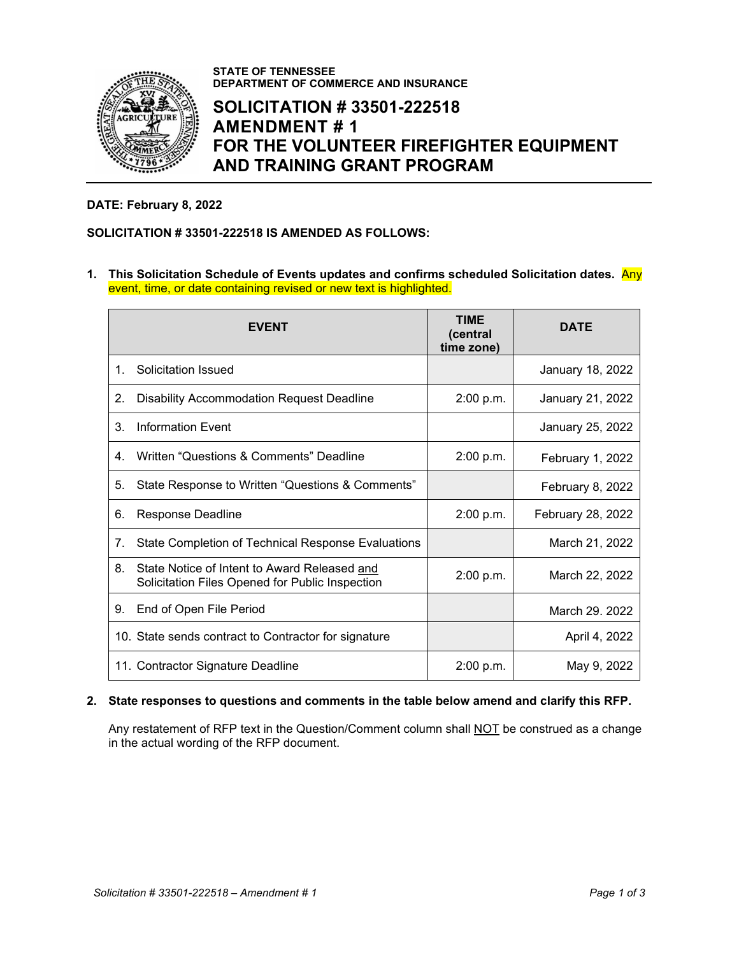

**STATE OF TENNESSEE DEPARTMENT OF COMMERCE AND INSURANCE**

## **SOLICITATION # 33501-222518 AMENDMENT # 1 FOR THE VOLUNTEER FIREFIGHTER EQUIPMENT AND TRAINING GRANT PROGRAM**

## **DATE: February 8, 2022**

## **SOLICITATION # 33501-222518 IS AMENDED AS FOLLOWS:**

**1. This Solicitation Schedule of Events updates and confirms scheduled Solicitation dates.** Any event, time, or date containing revised or new text is highlighted.

|    | <b>EVENT</b>                                                                                    | <b>TIME</b><br>(central<br>time zone) | <b>DATE</b>       |
|----|-------------------------------------------------------------------------------------------------|---------------------------------------|-------------------|
| 1  | Solicitation Issued                                                                             |                                       | January 18, 2022  |
| 2. | <b>Disability Accommodation Request Deadline</b>                                                | 2:00 p.m.                             | January 21, 2022  |
| 3. | Information Event                                                                               |                                       | January 25, 2022  |
| 4. | Written "Questions & Comments" Deadline                                                         | 2:00 p.m.                             | February 1, 2022  |
| 5. | State Response to Written "Questions & Comments"                                                |                                       | February 8, 2022  |
| 6. | Response Deadline                                                                               | 2:00 p.m.                             | February 28, 2022 |
| 7. | State Completion of Technical Response Evaluations                                              |                                       | March 21, 2022    |
| 8. | State Notice of Intent to Award Released and<br>Solicitation Files Opened for Public Inspection | 2:00 p.m.                             | March 22, 2022    |
| 9. | End of Open File Period                                                                         |                                       | March 29. 2022    |
|    | 10. State sends contract to Contractor for signature                                            |                                       | April 4, 2022     |
|    | 11. Contractor Signature Deadline                                                               | 2:00 p.m.                             | May 9, 2022       |

## **2. State responses to questions and comments in the table below amend and clarify this RFP.**

Any restatement of RFP text in the Question/Comment column shall NOT be construed as a change in the actual wording of the RFP document.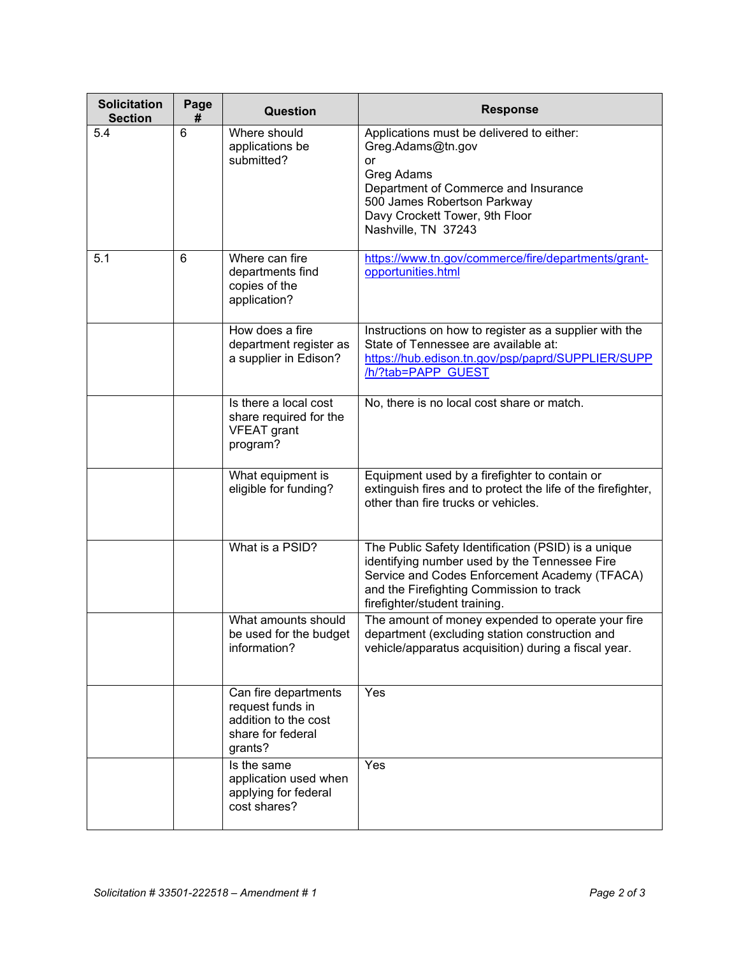| <b>Solicitation</b><br><b>Section</b> | Page<br># | <b>Question</b>                                                                                  | <b>Response</b>                                                                                                                                                                                                                    |
|---------------------------------------|-----------|--------------------------------------------------------------------------------------------------|------------------------------------------------------------------------------------------------------------------------------------------------------------------------------------------------------------------------------------|
| 5.4                                   | 6         | Where should<br>applications be<br>submitted?                                                    | Applications must be delivered to either:<br>Greg.Adams@tn.gov<br>or<br>Greg Adams<br>Department of Commerce and Insurance<br>500 James Robertson Parkway<br>Davy Crockett Tower, 9th Floor<br>Nashville, TN 37243                 |
| 5.1                                   | 6         | Where can fire<br>departments find<br>copies of the<br>application?                              | https://www.tn.gov/commerce/fire/departments/grant-<br>opportunities.html                                                                                                                                                          |
|                                       |           | How does a fire<br>department register as<br>a supplier in Edison?                               | Instructions on how to register as a supplier with the<br>State of Tennessee are available at:<br>https://hub.edison.tn.gov/psp/paprd/SUPPLIER/SUPP<br>/h/?tab=PAPP GUEST                                                          |
|                                       |           | Is there a local cost<br>share required for the<br><b>VFEAT</b> grant<br>program?                | No, there is no local cost share or match.                                                                                                                                                                                         |
|                                       |           | What equipment is<br>eligible for funding?                                                       | Equipment used by a firefighter to contain or<br>extinguish fires and to protect the life of the firefighter,<br>other than fire trucks or vehicles.                                                                               |
|                                       |           | What is a PSID?                                                                                  | The Public Safety Identification (PSID) is a unique<br>identifying number used by the Tennessee Fire<br>Service and Codes Enforcement Academy (TFACA)<br>and the Firefighting Commission to track<br>firefighter/student training. |
|                                       |           | What amounts should<br>be used for the budget<br>information?                                    | The amount of money expended to operate your fire<br>department (excluding station construction and<br>vehicle/apparatus acquisition) during a fiscal year.                                                                        |
|                                       |           | Can fire departments<br>request funds in<br>addition to the cost<br>share for federal<br>grants? | Yes                                                                                                                                                                                                                                |
|                                       |           | Is the same<br>application used when<br>applying for federal<br>cost shares?                     | Yes                                                                                                                                                                                                                                |